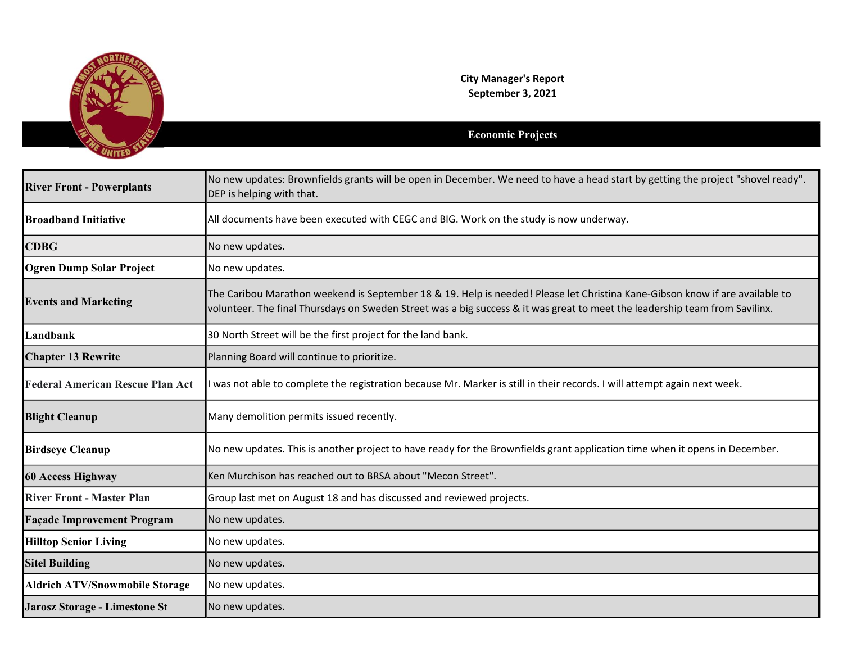

City Manager's Report September 3, 2021

## Economic Projects

| <b>River Front - Powerplants</b>        | No new updates: Brownfields grants will be open in December. We need to have a head start by getting the project "shovel ready".<br>DEP is helping with that.                                                                                               |
|-----------------------------------------|-------------------------------------------------------------------------------------------------------------------------------------------------------------------------------------------------------------------------------------------------------------|
| <b>Broadband Initiative</b>             | All documents have been executed with CEGC and BIG. Work on the study is now underway.                                                                                                                                                                      |
| <b>CDBG</b>                             | No new updates.                                                                                                                                                                                                                                             |
| <b>Ogren Dump Solar Project</b>         | No new updates.                                                                                                                                                                                                                                             |
| <b>Events and Marketing</b>             | The Caribou Marathon weekend is September 18 & 19. Help is needed! Please let Christina Kane-Gibson know if are available to<br>volunteer. The final Thursdays on Sweden Street was a big success & it was great to meet the leadership team from Savilinx. |
| Landbank                                | 30 North Street will be the first project for the land bank.                                                                                                                                                                                                |
| <b>Chapter 13 Rewrite</b>               | Planning Board will continue to prioritize.                                                                                                                                                                                                                 |
| <b>Federal American Rescue Plan Act</b> | I was not able to complete the registration because Mr. Marker is still in their records. I will attempt again next week.                                                                                                                                   |
| <b>Blight Cleanup</b>                   | Many demolition permits issued recently.                                                                                                                                                                                                                    |
| <b>Birdseye Cleanup</b>                 | No new updates. This is another project to have ready for the Brownfields grant application time when it opens in December.                                                                                                                                 |
| 60 Access Highway                       | Ken Murchison has reached out to BRSA about "Mecon Street".                                                                                                                                                                                                 |
| <b>River Front - Master Plan</b>        | Group last met on August 18 and has discussed and reviewed projects.                                                                                                                                                                                        |
| <b>Façade Improvement Program</b>       | No new updates.                                                                                                                                                                                                                                             |
| <b>Hilltop Senior Living</b>            | No new updates.                                                                                                                                                                                                                                             |
| <b>Sitel Building</b>                   | No new updates.                                                                                                                                                                                                                                             |
| <b>Aldrich ATV/Snowmobile Storage</b>   | No new updates.                                                                                                                                                                                                                                             |
| Jarosz Storage - Limestone St           | No new updates.                                                                                                                                                                                                                                             |